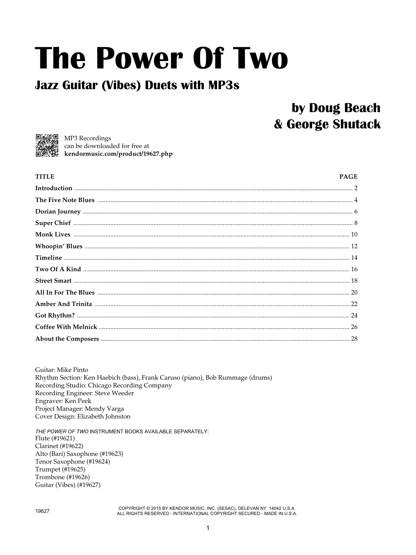## **The Power Of Two**

## **Jazz Guitar (Vibes) Duets with MP3s**

## by Doug Beach & George Shutack



MP3 Recordings can be downloaded for free at kendormusic.com/product/19627.php

| <b>TITLE</b> | <b>PAGE</b> |
|--------------|-------------|
|              |             |
|              |             |
|              |             |
|              |             |
|              |             |
|              |             |
|              |             |
|              |             |
|              |             |
|              |             |
|              |             |
|              |             |
|              |             |
|              |             |

Guitar: Mike Pinto Rhythm Section: Ken Haebich (bass), Frank Caruso (piano), Bob Rummage (drums) Recording Studio: Chicago Recording Company Recording Engineer: Steve Weeder Engraver: Ken Peek Project Manager: Mendy Varga Cover Design: Elizabeth Johnston

THE POWER OF TWO INSTRUMENT BOOKS AVAILABLE SEPARATELY: Flute (#19621) **Clarinet** (#19622) Alto (Bari) Saxophone (#19623) Tenor Saxophone (#19624) Trumpet (#19625) Trombone (#19626) Guitar (Vibes) (#19627)

COPYRIGHT © 2015 BY KENDOR MUSIC, INC. (SESAC), DELEVAN NY 14042 U.S.A. ALL RIGHTS RESERVED - INTERNATIONAL COPYRIGHT SECURED - MADE IN U.S.A.